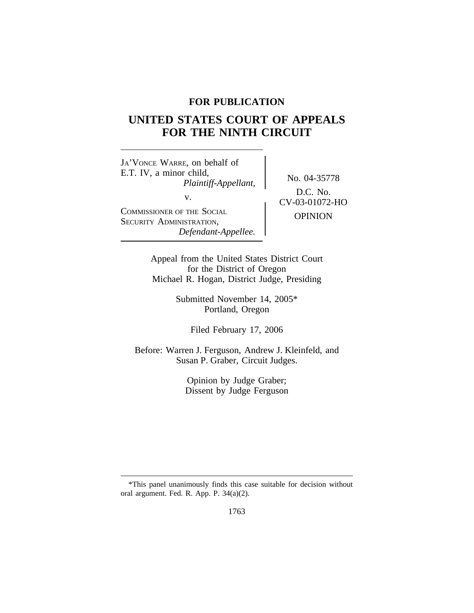# **FOR PUBLICATION**

# **UNITED STATES COURT OF APPEALS FOR THE NINTH CIRCUIT**

<sup>J</sup>A'VONCE WARRE, on behalf of E.T. IV, a minor child,<br>*Plaintiff-Appellant*, No. 04-35778 v.  $CV-03-01072-HO$ <sup>C</sup>OMMISSIONER OF THE SOCIAL OPINION <sup>S</sup>ECURITY ADMINISTRATION, *Defendant-Appellee.*

D.C. No.

Appeal from the United States District Court for the District of Oregon Michael R. Hogan, District Judge, Presiding

> Submitted November 14, 2005\* Portland, Oregon

> > Filed February 17, 2006

Before: Warren J. Ferguson, Andrew J. Kleinfeld, and Susan P. Graber, Circuit Judges.

> Opinion by Judge Graber; Dissent by Judge Ferguson

<sup>\*</sup>This panel unanimously finds this case suitable for decision without oral argument. Fed. R. App. P. 34(a)(2).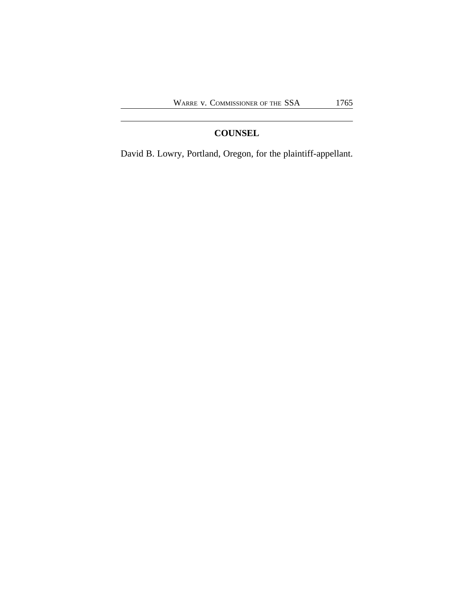# **COUNSEL**

David B. Lowry, Portland, Oregon, for the plaintiff-appellant.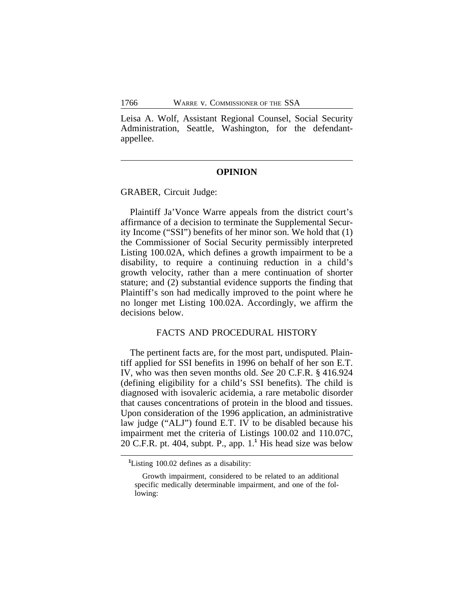Leisa A. Wolf, Assistant Regional Counsel, Social Security Administration, Seattle, Washington, for the defendantappellee.

#### **OPINION**

GRABER, Circuit Judge:

Plaintiff Ja'Vonce Warre appeals from the district court's affirmance of a decision to terminate the Supplemental Security Income ("SSI") benefits of her minor son. We hold that (1) the Commissioner of Social Security permissibly interpreted Listing 100.02A, which defines a growth impairment to be a disability, to require a continuing reduction in a child's growth velocity, rather than a mere continuation of shorter stature; and (2) substantial evidence supports the finding that Plaintiff's son had medically improved to the point where he no longer met Listing 100.02A. Accordingly, we affirm the decisions below.

#### FACTS AND PROCEDURAL HISTORY

The pertinent facts are, for the most part, undisputed. Plaintiff applied for SSI benefits in 1996 on behalf of her son E.T. IV, who was then seven months old. *See* 20 C.F.R. § 416.924 (defining eligibility for a child's SSI benefits). The child is diagnosed with isovaleric acidemia, a rare metabolic disorder that causes concentrations of protein in the blood and tissues. Upon consideration of the 1996 application, an administrative law judge ("ALJ") found E.T. IV to be disabled because his impairment met the criteria of Listings 100.02 and 110.07C, 20 C.F.R. pt. 404, subpt. P., app. 1.**<sup>1</sup>** His head size was below

**<sup>1</sup>**Listing 100.02 defines as a disability:

Growth impairment, considered to be related to an additional specific medically determinable impairment, and one of the following: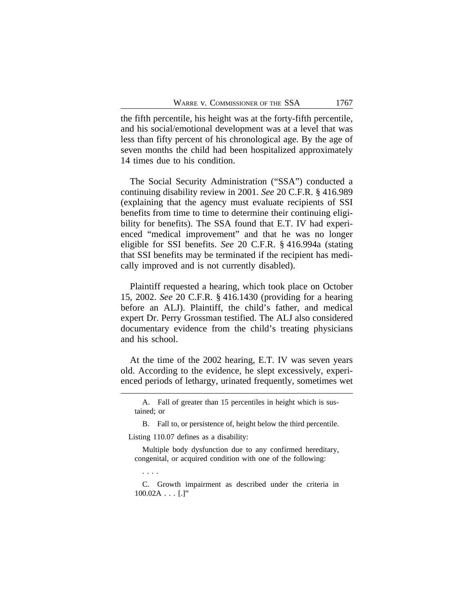the fifth percentile, his height was at the forty-fifth percentile, and his social/emotional development was at a level that was less than fifty percent of his chronological age. By the age of seven months the child had been hospitalized approximately 14 times due to his condition.

The Social Security Administration ("SSA") conducted a continuing disability review in 2001. *See* 20 C.F.R. § 416.989 (explaining that the agency must evaluate recipients of SSI benefits from time to time to determine their continuing eligibility for benefits). The SSA found that E.T. IV had experienced "medical improvement" and that he was no longer eligible for SSI benefits. *See* 20 C.F.R. § 416.994a (stating that SSI benefits may be terminated if the recipient has medically improved and is not currently disabled).

Plaintiff requested a hearing, which took place on October 15, 2002. *See* 20 C.F.R. § 416.1430 (providing for a hearing before an ALJ). Plaintiff, the child's father, and medical expert Dr. Perry Grossman testified. The ALJ also considered documentary evidence from the child's treating physicians and his school.

At the time of the 2002 hearing, E.T. IV was seven years old. According to the evidence, he slept excessively, experienced periods of lethargy, urinated frequently, sometimes wet

B. Fall to, or persistence of, height below the third percentile. Listing 110.07 defines as a disability:

Multiple body dysfunction due to any confirmed hereditary, congenital, or acquired condition with one of the following:

. . . .

C. Growth impairment as described under the criteria in  $100.02A...$  [.]"

A. Fall of greater than 15 percentiles in height which is sustained; or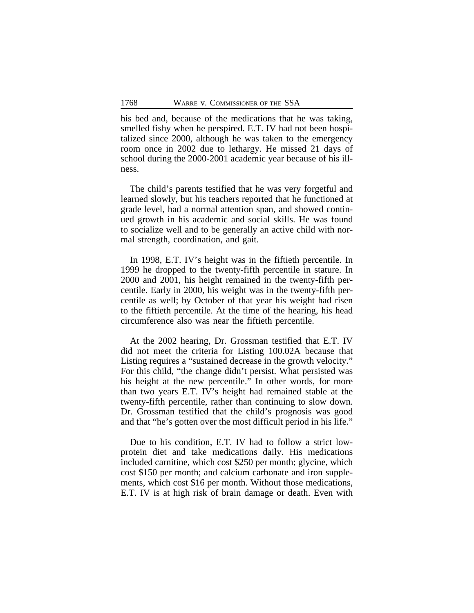his bed and, because of the medications that he was taking, smelled fishy when he perspired. E.T. IV had not been hospitalized since 2000, although he was taken to the emergency room once in 2002 due to lethargy. He missed 21 days of school during the 2000-2001 academic year because of his illness.

The child's parents testified that he was very forgetful and learned slowly, but his teachers reported that he functioned at grade level, had a normal attention span, and showed continued growth in his academic and social skills. He was found to socialize well and to be generally an active child with normal strength, coordination, and gait.

In 1998, E.T. IV's height was in the fiftieth percentile. In 1999 he dropped to the twenty-fifth percentile in stature. In 2000 and 2001, his height remained in the twenty-fifth percentile. Early in 2000, his weight was in the twenty-fifth percentile as well; by October of that year his weight had risen to the fiftieth percentile. At the time of the hearing, his head circumference also was near the fiftieth percentile.

At the 2002 hearing, Dr. Grossman testified that E.T. IV did not meet the criteria for Listing 100.02A because that Listing requires a "sustained decrease in the growth velocity." For this child, "the change didn't persist. What persisted was his height at the new percentile." In other words, for more than two years E.T. IV's height had remained stable at the twenty-fifth percentile, rather than continuing to slow down. Dr. Grossman testified that the child's prognosis was good and that "he's gotten over the most difficult period in his life."

Due to his condition, E.T. IV had to follow a strict lowprotein diet and take medications daily. His medications included carnitine, which cost \$250 per month; glycine, which cost \$150 per month; and calcium carbonate and iron supplements, which cost \$16 per month. Without those medications, E.T. IV is at high risk of brain damage or death. Even with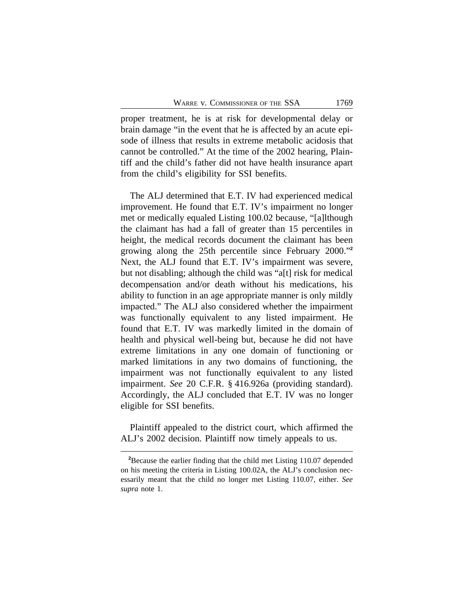proper treatment, he is at risk for developmental delay or brain damage "in the event that he is affected by an acute episode of illness that results in extreme metabolic acidosis that cannot be controlled." At the time of the 2002 hearing, Plaintiff and the child's father did not have health insurance apart from the child's eligibility for SSI benefits.

The ALJ determined that E.T. IV had experienced medical improvement. He found that E.T. IV's impairment no longer met or medically equaled Listing 100.02 because, "[a]lthough the claimant has had a fall of greater than 15 percentiles in height, the medical records document the claimant has been growing along the 25th percentile since February 2000." **2** Next, the ALJ found that E.T. IV's impairment was severe, but not disabling; although the child was "a[t] risk for medical decompensation and/or death without his medications, his ability to function in an age appropriate manner is only mildly impacted." The ALJ also considered whether the impairment was functionally equivalent to any listed impairment. He found that E.T. IV was markedly limited in the domain of health and physical well-being but, because he did not have extreme limitations in any one domain of functioning or marked limitations in any two domains of functioning, the impairment was not functionally equivalent to any listed impairment. *See* 20 C.F.R. § 416.926a (providing standard). Accordingly, the ALJ concluded that E.T. IV was no longer eligible for SSI benefits.

Plaintiff appealed to the district court, which affirmed the ALJ's 2002 decision. Plaintiff now timely appeals to us.

**<sup>2</sup>**Because the earlier finding that the child met Listing 110.07 depended on his meeting the criteria in Listing 100.02A, the ALJ's conclusion necessarily meant that the child no longer met Listing 110.07, either. *See supra* note 1.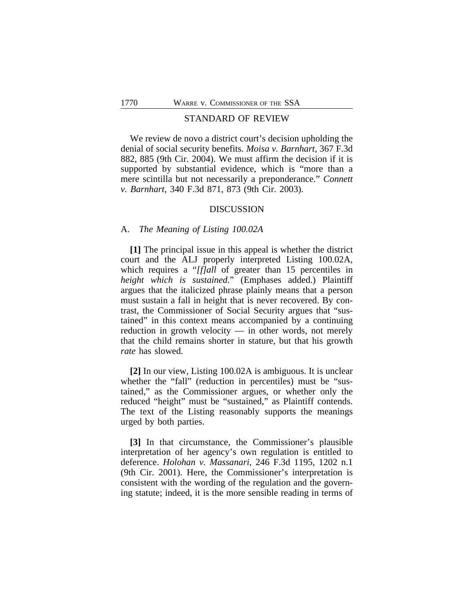### STANDARD OF REVIEW

We review de novo a district court's decision upholding the denial of social security benefits. *Moisa v. Barnhart*, 367 F.3d 882, 885 (9th Cir. 2004). We must affirm the decision if it is supported by substantial evidence, which is "more than a mere scintilla but not necessarily a preponderance." *Connett v. Barnhart*, 340 F.3d 871, 873 (9th Cir. 2003).

### DISCUSSION

#### A. *The Meaning of Listing 100.02A*

**[1]** The principal issue in this appeal is whether the district court and the ALJ properly interpreted Listing 100.02A, which requires a "*[f]all* of greater than 15 percentiles in *height which is sustained.*" (Emphases added.) Plaintiff argues that the italicized phrase plainly means that a person must sustain a fall in height that is never recovered. By contrast, the Commissioner of Social Security argues that "sustained" in this context means accompanied by a continuing reduction in growth velocity — in other words, not merely that the child remains shorter in stature, but that his growth *rate* has slowed.

**[2]** In our view, Listing 100.02A is ambiguous. It is unclear whether the "fall" (reduction in percentiles) must be "sustained," as the Commissioner argues, or whether only the reduced "height" must be "sustained," as Plaintiff contends. The text of the Listing reasonably supports the meanings urged by both parties.

**[3]** In that circumstance, the Commissioner's plausible interpretation of her agency's own regulation is entitled to deference. *Holohan v. Massanari*, 246 F.3d 1195, 1202 n.1 (9th Cir. 2001). Here, the Commissioner's interpretation is consistent with the wording of the regulation and the governing statute; indeed, it is the more sensible reading in terms of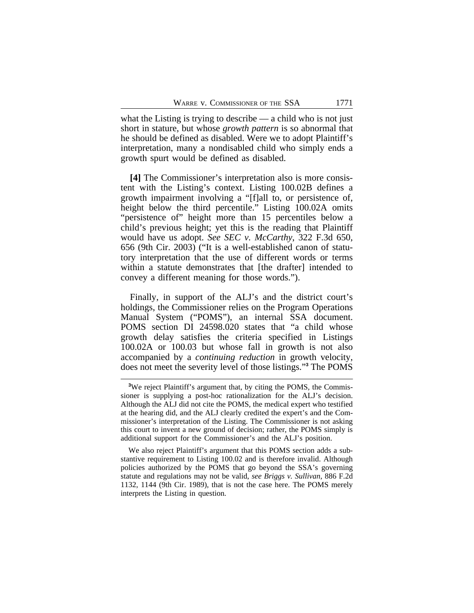what the Listing is trying to describe — a child who is not just short in stature, but whose *growth pattern* is so abnormal that he should be defined as disabled. Were we to adopt Plaintiff's interpretation, many a nondisabled child who simply ends a growth spurt would be defined as disabled.

**[4]** The Commissioner's interpretation also is more consistent with the Listing's context. Listing 100.02B defines a growth impairment involving a "[f]all to, or persistence of, height below the third percentile." Listing 100.02A omits "persistence of" height more than 15 percentiles below a child's previous height; yet this is the reading that Plaintiff would have us adopt. *See SEC v. McCarthy*, 322 F.3d 650, 656 (9th Cir. 2003) ("It is a well-established canon of statutory interpretation that the use of different words or terms within a statute demonstrates that [the drafter] intended to convey a different meaning for those words.").

Finally, in support of the ALJ's and the district court's holdings, the Commissioner relies on the Program Operations Manual System ("POMS"), an internal SSA document. POMS section DI 24598.020 states that "a child whose growth delay satisfies the criteria specified in Listings 100.02A or 100.03 but whose fall in growth is not also accompanied by a *continuing reduction* in growth velocity, does not meet the severity level of those listings." **3** The POMS

<sup>&</sup>lt;sup>3</sup>We reject Plaintiff's argument that, by citing the POMS, the Commissioner is supplying a post-hoc rationalization for the ALJ's decision. Although the ALJ did not cite the POMS, the medical expert who testified at the hearing did, and the ALJ clearly credited the expert's and the Commissioner's interpretation of the Listing. The Commissioner is not asking this court to invent a new ground of decision; rather, the POMS simply is additional support for the Commissioner's and the ALJ's position.

We also reject Plaintiff's argument that this POMS section adds a substantive requirement to Listing 100.02 and is therefore invalid. Although policies authorized by the POMS that go beyond the SSA's governing statute and regulations may not be valid, *see Briggs v. Sullivan*, 886 F.2d 1132, 1144 (9th Cir. 1989), that is not the case here. The POMS merely interprets the Listing in question.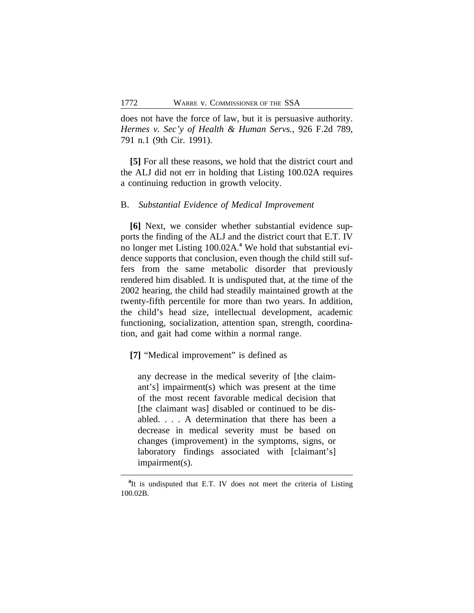does not have the force of law, but it is persuasive authority. *Hermes v. Sec'y of Health & Human Servs.*, 926 F.2d 789, 791 n.1 (9th Cir. 1991).

**[5]** For all these reasons, we hold that the district court and the ALJ did not err in holding that Listing 100.02A requires a continuing reduction in growth velocity.

#### B. *Substantial Evidence of Medical Improvement*

**[6]** Next, we consider whether substantial evidence supports the finding of the ALJ and the district court that E.T. IV no longer met Listing 100.02A.**<sup>4</sup>** We hold that substantial evidence supports that conclusion, even though the child still suffers from the same metabolic disorder that previously rendered him disabled. It is undisputed that, at the time of the 2002 hearing, the child had steadily maintained growth at the twenty-fifth percentile for more than two years. In addition, the child's head size, intellectual development, academic functioning, socialization, attention span, strength, coordination, and gait had come within a normal range.

**[7]** "Medical improvement" is defined as

any decrease in the medical severity of [the claimant's] impairment(s) which was present at the time of the most recent favorable medical decision that [the claimant was] disabled or continued to be disabled. . . . A determination that there has been a decrease in medical severity must be based on changes (improvement) in the symptoms, signs, or laboratory findings associated with [claimant's] impairment(s).

<sup>&</sup>lt;sup>4</sup>It is undisputed that E.T. IV does not meet the criteria of Listing 100.02B.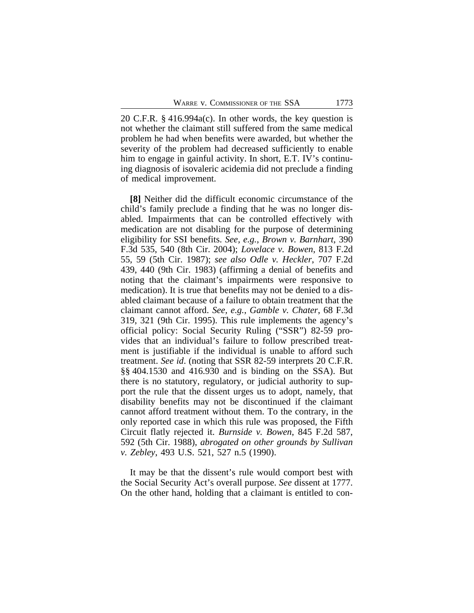20 C.F.R. § 416.994a(c). In other words, the key question is not whether the claimant still suffered from the same medical problem he had when benefits were awarded, but whether the severity of the problem had decreased sufficiently to enable him to engage in gainful activity. In short, E.T. IV's continuing diagnosis of isovaleric acidemia did not preclude a finding of medical improvement.

**[8]** Neither did the difficult economic circumstance of the child's family preclude a finding that he was no longer disabled. Impairments that can be controlled effectively with medication are not disabling for the purpose of determining eligibility for SSI benefits. *See, e.g.*, *Brown v. Barnhart*, 390 F.3d 535, 540 (8th Cir. 2004); *Lovelace v. Bowen*, 813 F.2d 55, 59 (5th Cir. 1987); *see also Odle v. Heckler*, 707 F.2d 439, 440 (9th Cir. 1983) (affirming a denial of benefits and noting that the claimant's impairments were responsive to medication). It is true that benefits may not be denied to a disabled claimant because of a failure to obtain treatment that the claimant cannot afford. *See, e.g.*, *Gamble v. Chater*, 68 F.3d 319, 321 (9th Cir. 1995). This rule implements the agency's official policy: Social Security Ruling ("SSR") 82-59 provides that an individual's failure to follow prescribed treatment is justifiable if the individual is unable to afford such treatment. *See id*. (noting that SSR 82-59 interprets 20 C.F.R. §§ 404.1530 and 416.930 and is binding on the SSA). But there is no statutory, regulatory, or judicial authority to support the rule that the dissent urges us to adopt, namely, that disability benefits may not be discontinued if the claimant cannot afford treatment without them. To the contrary, in the only reported case in which this rule was proposed, the Fifth Circuit flatly rejected it. *Burnside v. Bowen*, 845 F.2d 587, 592 (5th Cir. 1988), *abrogated on other grounds by Sullivan v. Zebley*, 493 U.S. 521, 527 n.5 (1990).

It may be that the dissent's rule would comport best with the Social Security Act's overall purpose. *See* dissent at 1777. On the other hand, holding that a claimant is entitled to con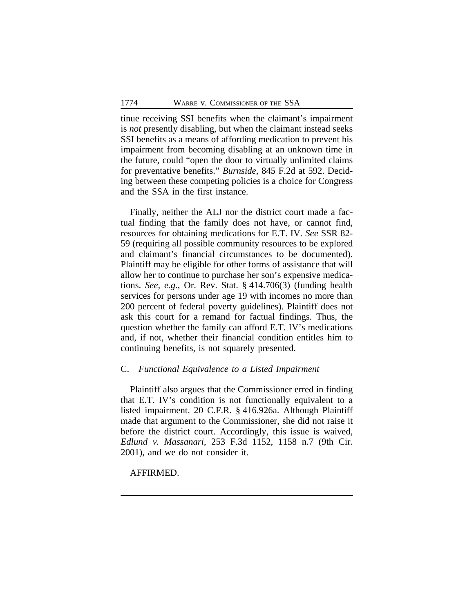tinue receiving SSI benefits when the claimant's impairment is *not* presently disabling, but when the claimant instead seeks SSI benefits as a means of affording medication to prevent his impairment from becoming disabling at an unknown time in the future, could "open the door to virtually unlimited claims for preventative benefits." *Burnside*, 845 F.2d at 592. Deciding between these competing policies is a choice for Congress and the SSA in the first instance.

Finally, neither the ALJ nor the district court made a factual finding that the family does not have, or cannot find, resources for obtaining medications for E.T. IV. *See* SSR 82- 59 (requiring all possible community resources to be explored and claimant's financial circumstances to be documented). Plaintiff may be eligible for other forms of assistance that will allow her to continue to purchase her son's expensive medications. *See, e.g.*, Or. Rev. Stat. § 414.706(3) (funding health services for persons under age 19 with incomes no more than 200 percent of federal poverty guidelines). Plaintiff does not ask this court for a remand for factual findings. Thus, the question whether the family can afford E.T. IV's medications and, if not, whether their financial condition entitles him to continuing benefits, is not squarely presented.

#### C. *Functional Equivalence to a Listed Impairment*

Plaintiff also argues that the Commissioner erred in finding that E.T. IV's condition is not functionally equivalent to a listed impairment. 20 C.F.R. § 416.926a. Although Plaintiff made that argument to the Commissioner, she did not raise it before the district court. Accordingly, this issue is waived, *Edlund v. Massanari*, 253 F.3d 1152, 1158 n.7 (9th Cir. 2001), and we do not consider it.

## AFFIRMED.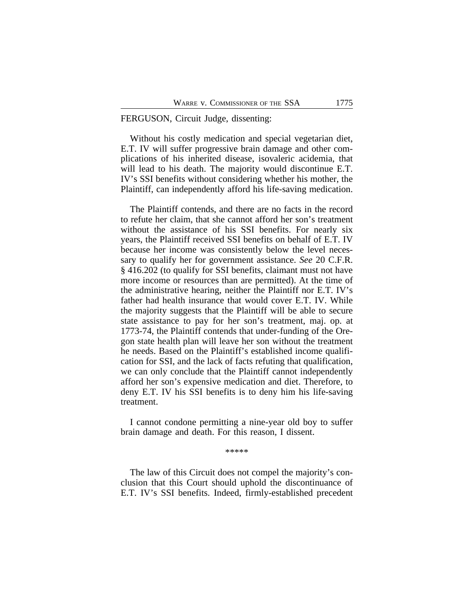## FERGUSON, Circuit Judge, dissenting:

Without his costly medication and special vegetarian diet, E.T. IV will suffer progressive brain damage and other complications of his inherited disease, isovaleric acidemia, that will lead to his death. The majority would discontinue E.T. IV's SSI benefits without considering whether his mother, the Plaintiff, can independently afford his life-saving medication.

The Plaintiff contends, and there are no facts in the record to refute her claim, that she cannot afford her son's treatment without the assistance of his SSI benefits. For nearly six years, the Plaintiff received SSI benefits on behalf of E.T. IV because her income was consistently below the level necessary to qualify her for government assistance. *See* 20 C.F.R. § 416.202 (to qualify for SSI benefits, claimant must not have more income or resources than are permitted). At the time of the administrative hearing, neither the Plaintiff nor E.T. IV's father had health insurance that would cover E.T. IV. While the majority suggests that the Plaintiff will be able to secure state assistance to pay for her son's treatment, maj. op. at 1773-74, the Plaintiff contends that under-funding of the Oregon state health plan will leave her son without the treatment he needs. Based on the Plaintiff's established income qualification for SSI, and the lack of facts refuting that qualification, we can only conclude that the Plaintiff cannot independently afford her son's expensive medication and diet. Therefore, to deny E.T. IV his SSI benefits is to deny him his life-saving treatment.

I cannot condone permitting a nine-year old boy to suffer brain damage and death. For this reason, I dissent.

\*\*\*\*\*

The law of this Circuit does not compel the majority's conclusion that this Court should uphold the discontinuance of E.T. IV's SSI benefits. Indeed, firmly-established precedent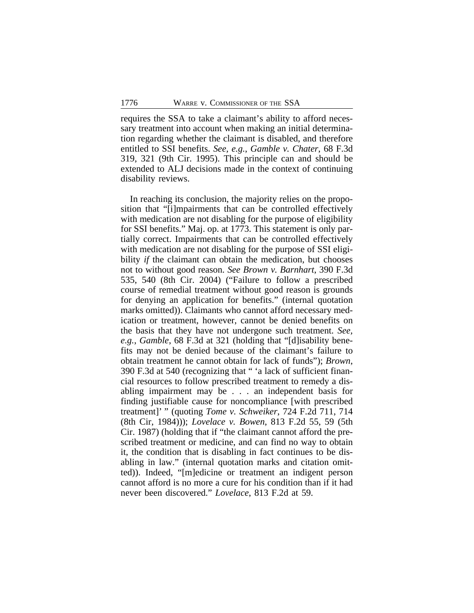requires the SSA to take a claimant's ability to afford necessary treatment into account when making an initial determination regarding whether the claimant is disabled, and therefore entitled to SSI benefits. *See, e.g.*, *Gamble v. Chater*, 68 F.3d 319, 321 (9th Cir. 1995). This principle can and should be extended to ALJ decisions made in the context of continuing disability reviews.

In reaching its conclusion, the majority relies on the proposition that "[i]mpairments that can be controlled effectively with medication are not disabling for the purpose of eligibility for SSI benefits." Maj. op. at 1773. This statement is only partially correct. Impairments that can be controlled effectively with medication are not disabling for the purpose of SSI eligibility *if* the claimant can obtain the medication, but chooses not to without good reason. *See Brown v. Barnhart*, 390 F.3d 535, 540 (8th Cir. 2004) ("Failure to follow a prescribed course of remedial treatment without good reason is grounds for denying an application for benefits." (internal quotation marks omitted)). Claimants who cannot afford necessary medication or treatment, however, cannot be denied benefits on the basis that they have not undergone such treatment. *See, e.g.*, *Gamble*, 68 F.3d at 321 (holding that "[d]isability benefits may not be denied because of the claimant's failure to obtain treatment he cannot obtain for lack of funds"); *Brown*, 390 F.3d at 540 (recognizing that " 'a lack of sufficient financial resources to follow prescribed treatment to remedy a disabling impairment may be . . . an independent basis for finding justifiable cause for noncompliance [with prescribed treatment]' " (quoting *Tome v. Schweiker*, 724 F.2d 711, 714 (8th Cir, 1984))); *Lovelace v. Bowen*, 813 F.2d 55, 59 (5th Cir. 1987) (holding that if "the claimant cannot afford the prescribed treatment or medicine, and can find no way to obtain it, the condition that is disabling in fact continues to be disabling in law." (internal quotation marks and citation omitted)). Indeed, "[m]edicine or treatment an indigent person cannot afford is no more a cure for his condition than if it had never been discovered." *Lovelace*, 813 F.2d at 59.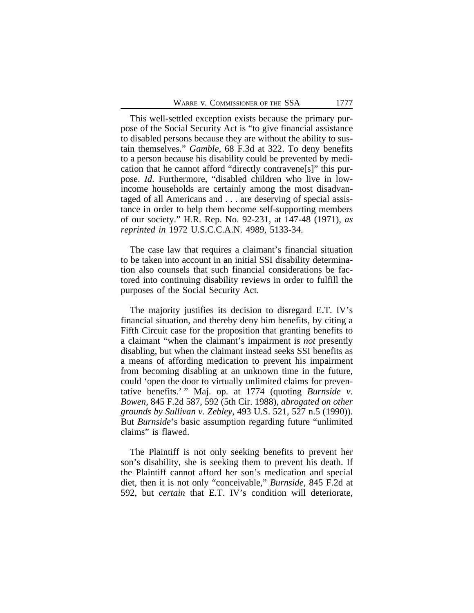This well-settled exception exists because the primary purpose of the Social Security Act is "to give financial assistance to disabled persons because they are without the ability to sustain themselves." *Gamble*, 68 F.3d at 322. To deny benefits to a person because his disability could be prevented by medication that he cannot afford "directly contravene[s]" this purpose. *Id*. Furthermore, "disabled children who live in lowincome households are certainly among the most disadvantaged of all Americans and . . . are deserving of special assistance in order to help them become self-supporting members of our society." H.R. Rep. No. 92-231, at 147-48 (1971), *as reprinted in* 1972 U.S.C.C.A.N. 4989, 5133-34.

The case law that requires a claimant's financial situation to be taken into account in an initial SSI disability determination also counsels that such financial considerations be factored into continuing disability reviews in order to fulfill the purposes of the Social Security Act.

The majority justifies its decision to disregard E.T. IV's financial situation, and thereby deny him benefits, by citing a Fifth Circuit case for the proposition that granting benefits to a claimant "when the claimant's impairment is *not* presently disabling, but when the claimant instead seeks SSI benefits as a means of affording medication to prevent his impairment from becoming disabling at an unknown time in the future, could 'open the door to virtually unlimited claims for preventative benefits.' " Maj. op. at 1774 (quoting *Burnside v. Bowen*, 845 F.2d 587, 592 (5th Cir. 1988), *abrogated on other grounds by Sullivan v. Zebley*, 493 U.S. 521, 527 n.5 (1990)). But *Burnside*'s basic assumption regarding future "unlimited claims" is flawed.

The Plaintiff is not only seeking benefits to prevent her son's disability, she is seeking them to prevent his death. If the Plaintiff cannot afford her son's medication and special diet, then it is not only "conceivable," *Burnside*, 845 F.2d at 592, but *certain* that E.T. IV's condition will deteriorate,